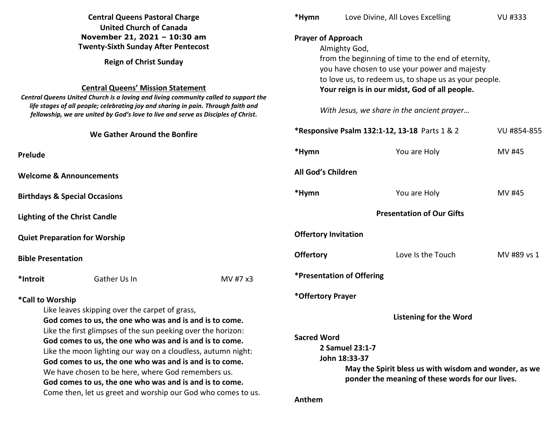|                                                                                                                                                                                                                                                                                                                                                                                                                                                                                                                                                                      | <b>Central Queens Pastoral Charge</b><br><b>United Church of Canada</b> | *Hymn            |                                                                                                                                                       | Love Divine, All Loves Excelling                                                                          | VU #333     |  |
|----------------------------------------------------------------------------------------------------------------------------------------------------------------------------------------------------------------------------------------------------------------------------------------------------------------------------------------------------------------------------------------------------------------------------------------------------------------------------------------------------------------------------------------------------------------------|-------------------------------------------------------------------------|------------------|-------------------------------------------------------------------------------------------------------------------------------------------------------|-----------------------------------------------------------------------------------------------------------|-------------|--|
| November 21, 2021 - 10:30 am<br><b>Twenty-Sixth Sunday After Pentecost</b>                                                                                                                                                                                                                                                                                                                                                                                                                                                                                           |                                                                         |                  | <b>Prayer of Approach</b><br>Almighty God,                                                                                                            |                                                                                                           |             |  |
| <b>Reign of Christ Sunday</b><br><b>Central Queens' Mission Statement</b><br>Central Queens United Church is a loving and living community called to support the<br>life stages of all people; celebrating joy and sharing in pain. Through faith and<br>fellowship, we are united by God's love to live and serve as Disciples of Christ.                                                                                                                                                                                                                           |                                                                         |                  | from the beginning of time to the end of eternity,<br>you have chosen to use your power and majesty                                                   |                                                                                                           |             |  |
|                                                                                                                                                                                                                                                                                                                                                                                                                                                                                                                                                                      |                                                                         |                  | to love us, to redeem us, to shape us as your people.<br>Your reign is in our midst, God of all people.<br>With Jesus, we share in the ancient prayer |                                                                                                           |             |  |
|                                                                                                                                                                                                                                                                                                                                                                                                                                                                                                                                                                      | We Gather Around the Bonfire                                            |                  | *Responsive Psalm 132:1-12, 13-18 Parts 1 & 2                                                                                                         |                                                                                                           | VU #854-855 |  |
| Prelude                                                                                                                                                                                                                                                                                                                                                                                                                                                                                                                                                              |                                                                         | *Hymn            |                                                                                                                                                       | You are Holy                                                                                              | MV #45      |  |
| <b>Welcome &amp; Announcements</b>                                                                                                                                                                                                                                                                                                                                                                                                                                                                                                                                   |                                                                         |                  | All God's Children                                                                                                                                    |                                                                                                           |             |  |
| <b>Birthdays &amp; Special Occasions</b>                                                                                                                                                                                                                                                                                                                                                                                                                                                                                                                             |                                                                         | *Hymn            |                                                                                                                                                       | You are Holy                                                                                              | MV #45      |  |
| <b>Lighting of the Christ Candle</b>                                                                                                                                                                                                                                                                                                                                                                                                                                                                                                                                 |                                                                         |                  |                                                                                                                                                       | <b>Presentation of Our Gifts</b>                                                                          |             |  |
|                                                                                                                                                                                                                                                                                                                                                                                                                                                                                                                                                                      | <b>Quiet Preparation for Worship</b>                                    |                  | <b>Offertory Invitation</b>                                                                                                                           |                                                                                                           |             |  |
| <b>Bible Presentation</b>                                                                                                                                                                                                                                                                                                                                                                                                                                                                                                                                            |                                                                         | <b>Offertory</b> |                                                                                                                                                       | Love Is the Touch                                                                                         | MV #89 vs 1 |  |
| *Introit                                                                                                                                                                                                                                                                                                                                                                                                                                                                                                                                                             | Gather Us In                                                            | MV #7 x3         | <i><b>*Presentation of Offering</b></i>                                                                                                               |                                                                                                           |             |  |
| *Call to Worship<br>Like leaves skipping over the carpet of grass,<br>God comes to us, the one who was and is and is to come.<br>Like the first glimpses of the sun peeking over the horizon:<br>God comes to us, the one who was and is and is to come.<br>Like the moon lighting our way on a cloudless, autumn night:<br>God comes to us, the one who was and is and is to come.<br>We have chosen to be here, where God remembers us.<br>God comes to us, the one who was and is and is to come.<br>Come then, let us greet and worship our God who comes to us. |                                                                         |                  | *Offertory Prayer                                                                                                                                     | Listening for the Word                                                                                    |             |  |
|                                                                                                                                                                                                                                                                                                                                                                                                                                                                                                                                                                      |                                                                         |                  | <b>Sacred Word</b><br>2 Samuel 23:1-7<br>John 18:33-37<br>Anthem                                                                                      | May the Spirit bless us with wisdom and wonder, as we<br>ponder the meaning of these words for our lives. |             |  |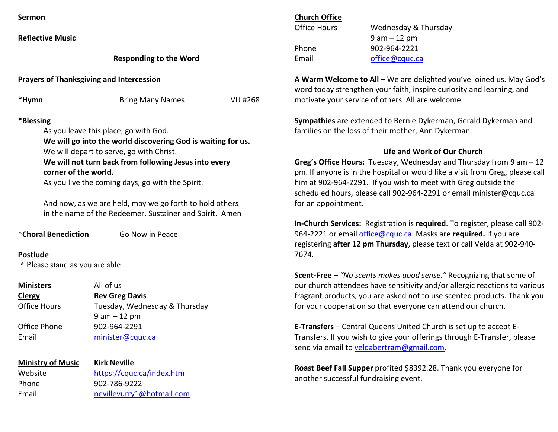**Reflective Music**

## **Responding to the Word**

**Prayers of Thanksgiving and Intercession** 

| *Hymn | <b>Bring Many Names</b> | VU #268 |
|-------|-------------------------|---------|
|       |                         |         |

# **\*Blessing**

As you leave this place, go with God.

 **We will go into the world discovering God is waiting for us.** 

We will depart to serve, go with Christ.

 **We will not turn back from following Jesus into every corner of the world.** 

As you live the coming days, go with the Spirit.

And now, as we are held, may we go forth to hold others in the name of the Redeemer, Sustainer and Spirit. Amen

\***Choral Benediction** Go Now in Peace

**Postlude \*** Please stand as you are able

**Ministers** All of us **ClergyClergy Rev Greg Davis**<br> **Cffice Hours Tuesdav**. Wedn Tuesday, Wednesday & Thursday 9 am – 12 pm Office Phone 902-964-2291 Email minister@cquc.ca

| <b>Ministry of Music</b> | <b>Kirk Neville</b>       |
|--------------------------|---------------------------|
| Website                  | https://cquc.ca/index.htm |
| Phone                    | 902-786-9222              |
| Email                    | nevillevurry1@hotmail.com |
|                          |                           |

## **Church Office**

| Office Hours | Wednesday & Thursday |
|--------------|----------------------|
|              | $9$ am $-12$ pm      |
| Phone        | 902-964-2221         |
| Email        | office@cquc.ca       |

**A Warm Welcome to All** – We are delighted you've joined us. May God's word today strengthen your faith, inspire curiosity and learning, and motivate your service of others. All are welcome.

**Sympathies** are extended to Bernie Dykerman, Gerald Dykerman and families on the loss of their mother, Ann Dykerman.

# **Life and Work of Our Church**

**Greg's Office Hours:** Tuesday, Wednesday and Thursday from 9 am – 12 pm. If anyone is in the hospital or would like a visit from Greg, please call him at 902-964-2291. If you wish to meet with Greg outside the scheduled hours, please call 902-964-2291 or email minister@cquc.ca for an appointment.

**In-Church Services:** Registration is **required**. To register, please call 902-964-2221 or email office@cquc.ca. Masks are **required.** If you are registering **after 12 pm Thursday**, please text or call Velda at 902-940- 7674.

**Scent-Free** – *"No scents makes good sense."* Recognizing that some of our church attendees have sensitivity and/or allergic reactions to various fragrant products, you are asked not to use scented products. Thank you for your cooperation so that everyone can attend our church.

**E-Transfers** – Central Queens United Church is set up to accept E-Transfers. If you wish to give your offerings through E-Transfer, please send via email to veldabertram@gmail.com.

**Roast Beef Fall Supper** profited \$8392.28. Thank you everyone for another successful fundraising event.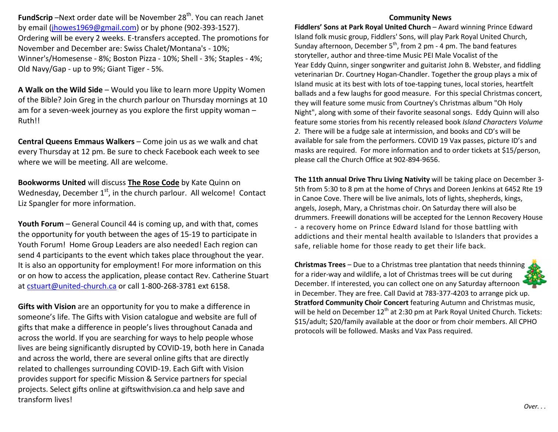FundScrip -Next order date will be November 28<sup>th</sup>. You can reach Janet by email (jhowes1969@gmail.com) or by phone (902-393-1527). Ordering will be every 2 weeks. E-transfers accepted. The promotions for November and December are: Swiss Chalet/Montana's - 10%; Winner's/Homesense - 8%; Boston Pizza - 10%; Shell - 3%; Staples - 4%; Old Navy/Gap - up to 9%; Giant Tiger - 5%.

**A Walk on the Wild Side** – Would you like to learn more Uppity Women of the Bible? Join Greg in the church parlour on Thursday mornings at 10 am for a seven-week journey as you explore the first uppity woman – Ruth!!

**Central Queens Emmaus Walkers** – Come join us as we walk and chat every Thursday at 12 pm. Be sure to check Facebook each week to see where we will be meeting. All are welcome.

**Bookworms United** will discuss **The Rose Code** by Kate Quinn on Wednesday, December  $1<sup>st</sup>$ , in the church parlour. All welcome! Contact Liz Spangler for more information.

**Youth Forum** – General Council 44 is coming up, and with that, comes the opportunity for youth between the ages of 15-19 to participate in Youth Forum! Home Group Leaders are also needed! Each region can send 4 participants to the event which takes place throughout the year. It is also an opportunity for employment! For more information on this or on how to access the application, please contact Rev. Catherine Stuart at cstuart@united-church.ca or call 1-800-268-3781 ext 6158.

**Gifts with Vision** are an opportunity for you to make a difference in someone's life. The Gifts with Vision catalogue and website are full of gifts that make a difference in people's lives throughout Canada and across the world. If you are searching for ways to help people whose lives are being significantly disrupted by COVID-19, both here in Canada and across the world, there are several online gifts that are directly related to challenges surrounding COVID-19. Each Gift with Vision provides support for specific Mission & Service partners for special projects. Select gifts online at giftswithvision.ca and help save and transform lives!

## **Community News**

 **Fiddlers' Sons at Park Royal United Church** – Award winning Prince Edward Island folk music group, Fiddlers' Sons, will play Park Royal United Church, Sunday afternoon, December  $5<sup>th</sup>$ , from 2 pm - 4 pm. The band features storyteller, author and three-time Music PEI Male Vocalist of the Year Eddy Quinn, singer songwriter and guitarist John B. Webster, and fiddling veterinarian Dr. Courtney Hogan-Chandler. Together the group plays a mix of Island music at its best with lots of toe-tapping tunes, local stories, heartfelt ballads and a few laughs for good measure. For this special Christmas concert, they will feature some music from Courtney's Christmas album "Oh Holy Night", along with some of their favorite seasonal songs. Eddy Quinn will also feature some stories from his recently released book *Island Characters Volume 2*. There will be a fudge sale at intermission, and books and CD's will be available for sale from the performers. COVID 19 Vax passes, picture ID's and masks are required. For more information and to order tickets at \$15/person, please call the Church Office at 902-894-9656.

**The 11th annual Drive Thru Living Nativity** will be taking place on December 3- 5th from 5:30 to 8 pm at the home of Chrys and Doreen Jenkins at 6452 Rte 19 in Canoe Cove. There will be live animals, lots of lights, shepherds, kings, angels, Joseph, Mary, a Christmas choir. On Saturday there will also be drummers. Freewill donations will be accepted for the Lennon Recovery House - a recovery home on Prince Edward Island for those battling with addictions and their mental health available to Islanders that provides a safe, reliable home for those ready to get their life back.

**Christmas Trees** – Due to a Christmas tree plantation that needs thinning for a rider-way and wildlife, a lot of Christmas trees will be cut during December. If interested, you can collect one on any Saturday afternoon in December. They are free. Call David at 783-377-4203 to arrange pick up. **Stratford Community Choir Concert** featuring Autumn and Christmas music, will be held on December 12<sup>th</sup> at 2:30 pm at Park Royal United Church. Tickets: \$15/adult; \$20/family available at the door or from choir members. All CPHO protocols will be followed. Masks and Vax Pass required.